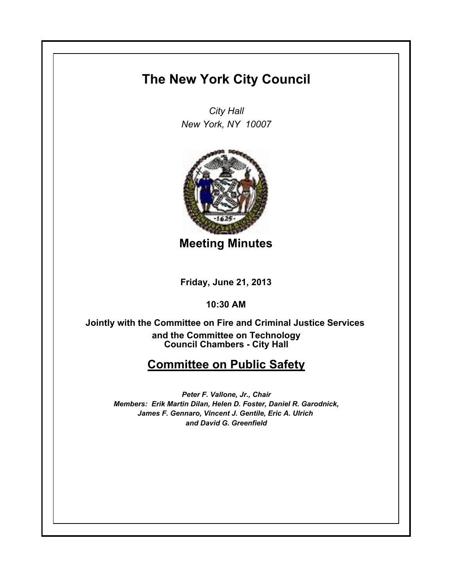## **The New York City Council**

*City Hall New York, NY 10007*



**Meeting Minutes**

**Friday, June 21, 2013**

**10:30 AM**

**Council Chambers - City Hall Jointly with the Committee on Fire and Criminal Justice Services and the Committee on Technology**

## **Committee on Public Safety**

*Peter F. Vallone, Jr., Chair Members: Erik Martin Dilan, Helen D. Foster, Daniel R. Garodnick, James F. Gennaro, Vincent J. Gentile, Eric A. Ulrich and David G. Greenfield*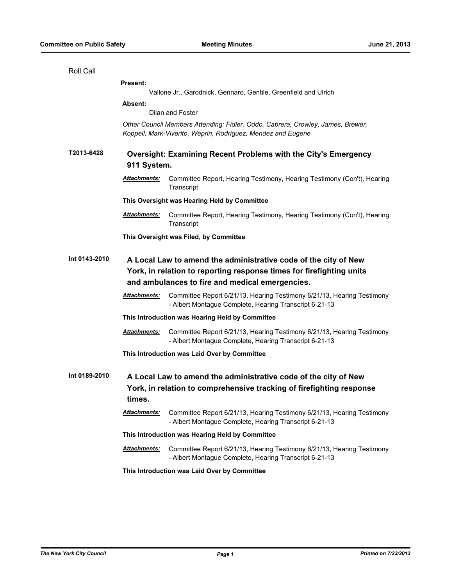| Roll Call     |                                                                                                                                                                                            |                                                                                                                                  |  |
|---------------|--------------------------------------------------------------------------------------------------------------------------------------------------------------------------------------------|----------------------------------------------------------------------------------------------------------------------------------|--|
|               | <b>Present:</b>                                                                                                                                                                            |                                                                                                                                  |  |
|               | Vallone Jr., Garodnick, Gennaro, Gentile, Greenfield and Ulrich                                                                                                                            |                                                                                                                                  |  |
|               | Absent:                                                                                                                                                                                    |                                                                                                                                  |  |
|               | Dilan and Foster                                                                                                                                                                           |                                                                                                                                  |  |
|               | Other Council Members Attending: Fidler, Oddo, Cabrera, Crowley, James, Brewer,<br>Koppell, Mark-Viverito, Weprin, Rodriguez, Mendez and Eugene                                            |                                                                                                                                  |  |
| T2013-6428    | <b>Oversight: Examining Recent Problems with the City's Emergency</b><br>911 System.                                                                                                       |                                                                                                                                  |  |
|               | <u> Attachments:</u>                                                                                                                                                                       | Committee Report, Hearing Testimony, Hearing Testimony (Con't), Hearing<br>Transcript                                            |  |
|               |                                                                                                                                                                                            | This Oversight was Hearing Held by Committee                                                                                     |  |
|               | <b>Attachments:</b>                                                                                                                                                                        | Committee Report, Hearing Testimony, Hearing Testimony (Con't), Hearing<br>Transcript                                            |  |
|               | This Oversight was Filed, by Committee                                                                                                                                                     |                                                                                                                                  |  |
| Int 0143-2010 | A Local Law to amend the administrative code of the city of New<br>York, in relation to reporting response times for firefighting units<br>and ambulances to fire and medical emergencies. |                                                                                                                                  |  |
|               | <u> Attachments:</u>                                                                                                                                                                       | Committee Report 6/21/13, Hearing Testimony 6/21/13, Hearing Testimony<br>- Albert Montague Complete, Hearing Transcript 6-21-13 |  |
|               | This Introduction was Hearing Held by Committee                                                                                                                                            |                                                                                                                                  |  |
|               | Attachments:                                                                                                                                                                               | Committee Report 6/21/13, Hearing Testimony 6/21/13, Hearing Testimony<br>- Albert Montague Complete, Hearing Transcript 6-21-13 |  |
|               | This Introduction was Laid Over by Committee                                                                                                                                               |                                                                                                                                  |  |
| Int 0189-2010 | A Local Law to amend the administrative code of the city of New<br>York, in relation to comprehensive tracking of firefighting response<br>times.                                          |                                                                                                                                  |  |
|               | <b>Attachments:</b>                                                                                                                                                                        | Committee Report 6/21/13, Hearing Testimony 6/21/13, Hearing Testimony<br>- Albert Montague Complete, Hearing Transcript 6-21-13 |  |
|               |                                                                                                                                                                                            | This Introduction was Hearing Held by Committee                                                                                  |  |
|               | <b>Attachments:</b>                                                                                                                                                                        | Committee Report 6/21/13, Hearing Testimony 6/21/13, Hearing Testimony<br>- Albert Montague Complete, Hearing Transcript 6-21-13 |  |
|               | This Introduction was Laid Over by Committee                                                                                                                                               |                                                                                                                                  |  |